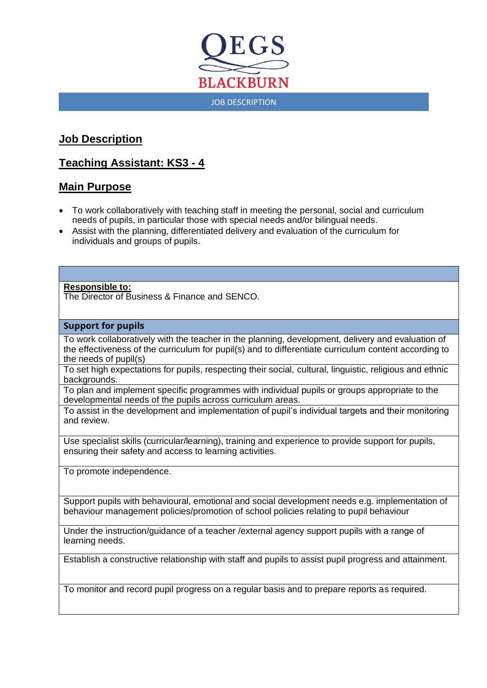

## **Job Description**

# **Teaching Assistant: KS3 - 4**

### **Main Purpose**

- To work collaboratively with teaching staff in meeting the personal, social and curriculum needs of pupils, in particular those with special needs and/or bilingual needs.
- Assist with the planning, differentiated delivery and evaluation of the curriculum for individuals and groups of pupils.

### **Responsible to:**

The Director of Business & Finance and SENCO.

#### **Support for pupils**

To work collaboratively with the teacher in the planning, development, delivery and evaluation of the effectiveness of the curriculum for pupil(s) and to differentiate curriculum content according to the needs of pupil(s)

To set high expectations for pupils, respecting their social, cultural, linguistic, religious and ethnic backgrounds.

To plan and implement specific programmes with individual pupils or groups appropriate to the developmental needs of the pupils across curriculum areas.

To assist in the development and implementation of pupil's individual targets and their monitoring and review.

Use specialist skills (curricular/learning), training and experience to provide support for pupils, ensuring their safety and access to learning activities.

To promote independence.

Support pupils with behavioural, emotional and social development needs e.g. implementation of behaviour management policies/promotion of school policies relating to pupil behaviour

Under the instruction/guidance of a teacher /external agency support pupils with a range of learning needs.

Establish a constructive relationship with staff and pupils to assist pupil progress and attainment.

To monitor and record pupil progress on a regular basis and to prepare reports as required.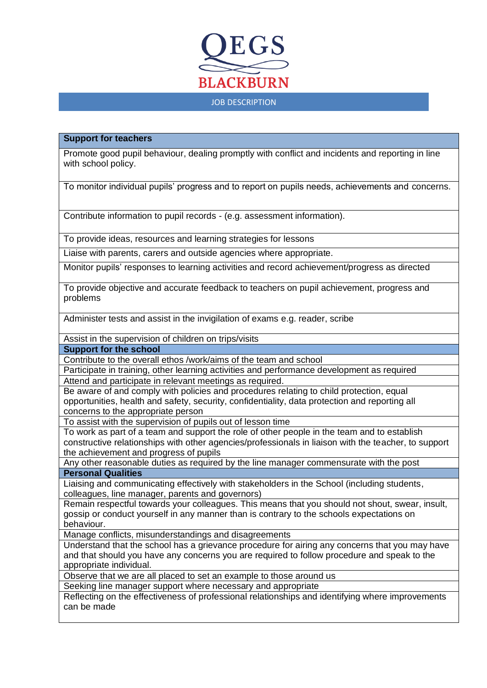

#### JOB DESCRIPTION

#### **Support for teachers**

Promote good pupil behaviour, dealing promptly with conflict and incidents and reporting in line with school policy.

To monitor individual pupils' progress and to report on pupils needs, achievements and concerns.

Contribute information to pupil records - (e.g. assessment information).

To provide ideas, resources and learning strategies for lessons

Liaise with parents, carers and outside agencies where appropriate.

Monitor pupils' responses to learning activities and record achievement/progress as directed

To provide objective and accurate feedback to teachers on pupil achievement, progress and problems

Administer tests and assist in the invigilation of exams e.g. reader, scribe

Assist in the supervision of children on trips/visits

**Support for the school**

Contribute to the overall ethos /work/aims of the team and school

Participate in training, other learning activities and performance development as required Attend and participate in relevant meetings as required.

Be aware of and comply with policies and procedures relating to child protection, equal opportunities, health and safety, security, confidentiality, data protection and reporting all concerns to the appropriate person

To assist with the supervision of pupils out of lesson time

To work as part of a team and support the role of other people in the team and to establish constructive relationships with other agencies/professionals in liaison with the teacher, to support the achievement and progress of pupils

Any other reasonable duties as required by the line manager commensurate with the post **Personal Qualities**

Liaising and communicating effectively with stakeholders in the School (including students, colleagues, line manager, parents and governors)

Remain respectful towards your colleagues. This means that you should not shout, swear, insult, gossip or conduct yourself in any manner than is contrary to the schools expectations on behaviour.

Manage conflicts, misunderstandings and disagreements

Understand that the school has a grievance procedure for airing any concerns that you may have and that should you have any concerns you are required to follow procedure and speak to the appropriate individual.

Observe that we are all placed to set an example to those around us

Seeking line manager support where necessary and appropriate

Reflecting on the effectiveness of professional relationships and identifying where improvements can be made